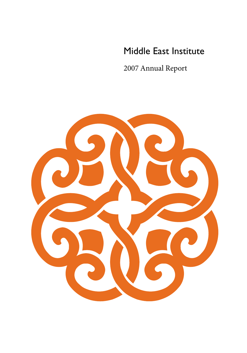# Middle East Institute

2007 Annual Report

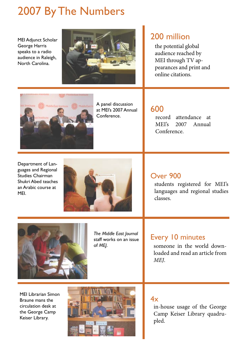# 2007 By The Numbers

MEI Adjunct Scholar George Harris speaks to a radio audience in Raleigh, North Carolina.



### 200 million

the potential global audience reached by MEI through TV appearances and print and online citations.



A panel discussion at MEI's 2007 Annual Conference.

### 600

record attendance at MEI's 2007 Annual Conference.

Department of Languages and Regional Studies Chairman Shukri Abed teaches an Arabic course at MEI.



### Over 900

students registered for MEI's languages and regional studies classes.



*The Middle East Journal* staff works on an issue of *MEJ*.

### Every 10 minutes

someone in the world downloaded and read an article from *MEJ*.

MEI Librarian Simon Braune mans the circulation desk at the George Camp Keiser Library.



 $4x$ 

in-house usage of the George Camp Keiser Library quadrupled.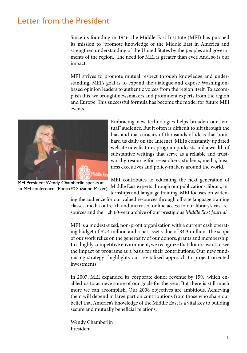### Letter from the President

Since its founding in 1946, the Middle East Institute (MEI) has pursued its mission to "promote knowledge of the Middle East in America and strengthen understanding of the United States by the peoples and governments of the region." The need for MEI is greater than ever. And, so is our impact.

MEI strives to promote mutual respect through knowledge and understanding. MEI's goal is to expand the dialogue and expose Washingtonbased opinion leaders to authentic voices from the region itself. To accomplish this, we brought newsmakers and prominent experts from the region and Europe. This successful formula has become the model for future MEI events.



Embracing new technologies helps broaden our "virtual" audience. But it often is difficult to sift through the bias and inaccuracies of thousands of ideas that bombard us daily on the Internet. MEI's constantly updated website now features program podcasts and a wealth of substantive writings that serve as a reliable and trustworthy resource for researchers, students, media, business executives and policy-makers around the world.

MEI President Wendy Chamberlin speaks at an MEI conference. (Photo © Suzanne Mazer)

MEI contributes to educating the next generation of Middle East experts through our publications, library, internships and language training. MEI focuses on widen-

ing the audience for our valued resources through off-site language training classes, media outreach and increased online access to our library's vast resources and the rich 60-year archive of our prestigious *Middle East Journal*.

MEI is a modest-sized, non-profit organization with a current cash operating budget of \$2.4 million and a net asset value of \$4.3 million. The scope of our work relies on the generosity of our donors, grants and membership. In a highly competitive environment, we recognize that donors want to see the impact of programs as a basis for their contributions. Our new fundraising strategy highlights our revitalized approach to project-oriented investments.

In 2007, MEI expanded its corporate donor revenue by 15%, which enabled us to achieve some of our goals for the year. But there is still much more we can accomplish. Our 2008 objectives are ambitious. Achieving them will depend in large part on contributions from those who share our belief that America's knowledge of the Middle East is a vital key to building secure and mutually beneficial relations.

Wendy Chamberlin President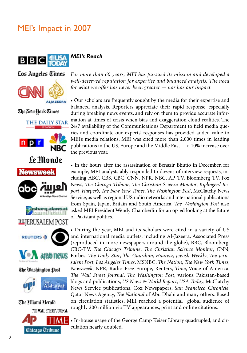# MEI's Impact in 2007



Los Angeles Times



The New York Times

THE DAILY STAR













The *Hiami* Herald



*For more than 60 years, MEI has pursued its mission and developed a well-deserved reputation for expertise and balanced analysis. The need for what we offer has never been greater — nor has our impact.*

• Our scholars are frequently sought by the media for their expertise and balanced analysis. Reporters appreciate their rapid response, especially during breaking news events, and rely on them to provide accurate information at times of crisis when bias and exaggeration cloud realities. The 24/7 availability of the Communications Department to field media queries and coordinate our experts' responses has provided added value to MEI's media relations. MEI was cited more than 2,000 times in leading publications in the US, Europe and the Middle East — a 10% increase over the previous year.

• In the hours after the assassination of Benazir Bhutto in December, for example, MEI analysts ably responded to dozens of interview requests, including ABC, CBS, CBC, CNN, NPR, NBC, AP TV, Bloomberg TV, Fox News, *The Chicago Tribune*, *The Christian Science Monitor*, *Kiplingers' Report*, *Harper's*, *The New York Times*, *The Washington Post*, McClatchy News Service, as well as regional US radio networks and international publications from Spain, Japan, Britain and South America. *The Washington Post* also asked MEI President Wendy Chamberlin for an op-ed looking at the future of Pakistani politics.

• During the year, MEI and its scholars were cited in a variety of US and international media outlets, including Al-Jazeera, Associated Press (reproduced in more newspapers around the globe), BBC, Bloomberg, CBC-TV, *The Chicago Tribune*, *The Christian Science Monitor*, CNN, Forbes, *The Daily Star*, *The Guardian*, *Haaretz*, *Jewish Weekly*, *The Jerusalem Post*, *Los Angeles Times*, MSNBC, *The Nation*, *The New York Times*, *Newsweek*, NPR, Radio Free Europe, Reuters, *Time*, Voice of America, *The Wall Street Journal*, *The Washington Post*, various Pakistan-based blogs and publications, *US News & World Report*, *USA Today*, McClatchy News Service publications, Cox Newspapers, *San Francisco Chronicle*, Qatar News Agency, *The National* of Abu Dhabi and many others. Based on circulation statistics, MEI reached a potential global audience of roughly 200 million via TV appearances, print and online citations.

• In-house usage of the George Camp Keiser Library quadrupled, and circulation nearly doubled.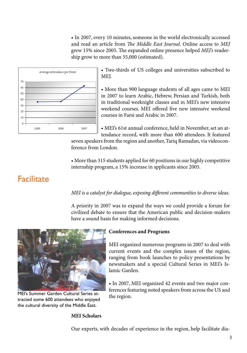• In 2007, every 10 minutes, someone in the world electronically accessed and read an article from *The Middle East Journal*. Online access to *MEJ* grew 15% since 2005. The expanded online presence helped *MEJ's* readership grow to more than 55,000 (estimated).



• Two-thirds of US colleges and universities subscribed to MEJ.

• More than 900 language students of all ages came to MEI in 2007 to learn Arabic, Hebrew, Persian and Turkish, both in traditional weeknight classes and in MEI's new intensive weekend courses. MEI offered five new intensive weekend courses in Farsi and Arabic in 2007.

• MEI's 61st annual conference, held in November, set an attendance record, with more than 600 attendees. It featured

seven speakers from the region and another, Tariq Ramadan, via videoconference from London.

• More than 315 students applied for 60 positions in our highly competitive internship program, a 15% increase in applicants since 2005.

### **Facilitate**

*MEI is a catalyst for dialogue, exposing different communities to diverse ideas.*

A priority in 2007 was to expand the ways we could provide a forum for civilized debate to ensure that the American public and decision-makers have a sound basis for making informed decisions.



MEI's Summer Garden Cultural Series attracted some 600 attendees who enjoyed the cultural diversity of the Middle East.

#### **Conferences and Programs**

MEI organized numerous programs in 2007 to deal with current events and the complex issues of the region, ranging from book launches to policy presentations by newsmakers and a special Cultural Series in MEI's Islamic Garden.

• In 2007, MEI organized 42 events and two major conferences featuring noted speakers from across the US and the region.

#### **MEI Scholars**

Our experts, with decades of experience in the region, help facilitate dia-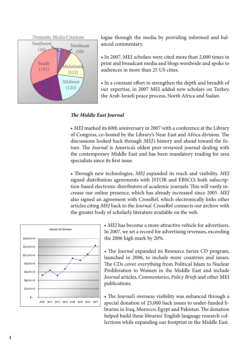

logue through the media by providing informed and balanced commentary.

• In 2007, MEI scholars were cited more than 2,000 times in print and broadcast media and blogs wordwide and spoke to audiences in more than 25 US cities.

• In a constant effort to strengthen the depth and breadth of our expertise, in 2007 MEI added new scholars on Turkey, the Arab-Israeli peace process, North Africa and Sudan.

#### *The Middle East Journal*

• *MEJ* marked its 60th anniversary in 2007 with a conference at the Library of Congress, co-hosted by the Library's Near East and Africa division. The discussions looked back through *MEJ's* history and ahead toward the future. The *Journal* is America's oldest peer-reviewed journal dealing with the contemporary Middle East and has been mandatory reading for area specialists since its first issue.

• Through new technologies, *MEJ* expanded its reach and visibility. *MEJ* signed distribution agreements with JSTOR and EBSCO, both subscription-based electronic distributors of academic journals. This will vastly increase our online presence, which has already increased since 2005. *MEJ*  also signed an agreement with CrossRef, which electronically links other articles citing *MEJ* back to the *Journal*. CrossRef connects our archive with the greater body of scholarly literature available on the web.



• *MEJ* has become a more attractive vehicle for advertisers. In 2007, we set a record for advertising revenues, exceeding the 2006 high mark by 20%.

• The *Journal* expanded its Resource Series CD program, launched in 2006, to include more countries and issues. The CDs cover everything from Political Islam to Nuclear Proliferation to Women in the Middle East and include *Journal* articles, *Commentaries*, *Policy Briefs* and other MEI publications.

• The *Journal's* overseas visibility was enhanced through a special donation of 25,000 back issues to under-funded libraries in Iraq, Morocco, Egypt and Pakistan. The donation helped build these libraries' English language research collections while expanding our footprint in the Middle East.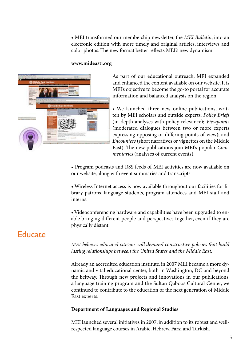• MEI transformed our membership newsletter, the *MEI Bulletin*, into an electronic edition with more timely and original articles, interviews and color photos. The new format better reflects MEI's new dynamism.

#### **www.mideasti.org**



As part of our educational outreach, MEI expanded and enhanced the content available on our website. It is MEI's objective to become the go-to portal for accurate information and balanced analysis on the region.

• We launched three new online publications, written by MEI scholars and outside experts: *Policy Briefs*  (in-depth analyses with policy relevance); *Viewpoints* (moderated dialogues between two or more experts expressing opposing or differing points of view); and *Encounters* (short narratives or vignettes on the Middle East). The new publications join MEI's popular *Commentaries* (analyses of current events).

• Program podcasts and RSS feeds of MEI activities are now available on our website, along with event summaries and transcripts.

• Wireless Internet access is now available throughout our facilities for library patrons, language students, program attendees and MEI staff and interns.

• Videoconferencing hardware and capabilities have been upgraded to enable bringing different people and perspectives together, even if they are physically distant.

### **Educate**

*MEI believes educated citizens will demand constructive policies that build lasting relationships between the United States and the Middle East.*

Already an accredited education institute, in 2007 MEI became a more dynamic and vital educational center, both in Washington, DC and beyond the beltway. Through new projects and innovations in our publications, a language training program and the Sultan Qaboos Cultural Center, we continued to contribute to the education of the next generation of Middle East experts.

#### **Department of Languages and Regional Studies**

MEI launched several initiatives in 2007, in addition to its robust and wellrespected language courses in Arabic, Hebrew, Farsi and Turkish.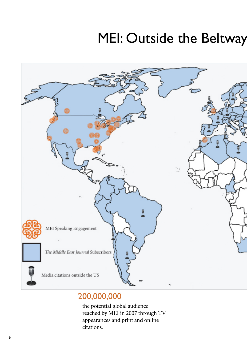# MEI: Outside the Beltway



## 200,000,000

the potential global audience reached by MEI in 2007 through TV appearances and print and online citations.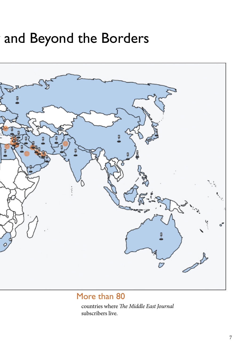# and Beyond the Borders



### More than 80

countries where *The Middle East Journal* subscribers live.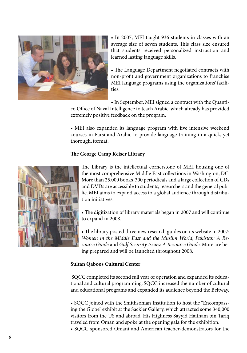

• In 2007, MEI taught 936 students in classes with an average size of seven students. This class size ensured that students received personalized instruction and learned lasting language skills.

• The Language Department negotiated contracts with non-profit and government organizations to franchise MEI language programs using the organizations' facilities.

• In September, MEI signed a contract with the Quanti-

co Office of Naval Intelligence to teach Arabic, which already has provided extremely positive feedback on the program.

• MEI also expanded its language program with five intensive weekend courses in Farsi and Arabic to provide language training in a quick, yet thorough, format.

#### **The George Camp Keiser Library**



The Library is the intellectual cornerstone of MEI, housing one of the most comprehensive Middle East collections in Washington, DC. More than 25,000 books, 300 periodicals and a large collection of CDs and DVDs are accessible to students, researchers and the general public. MEI aims to expand access to a global audience through distribution initiatives.

• The digitization of library materials began in 2007 and will continue to expand in 2008.

• The library posted three new research guides on its website in 2007: *Women in the Middle East and the Muslim World*; *Pakistan: A Resource Guide* and *Gulf Security Issues: A Resource Guide*. More are being prepared and will be launched throughout 2008.

#### **Sultan Qaboos Cultural Center**

SQCC completed its second full year of operation and expanded its educational and cultural programming. SQCC increased the number of cultural and educational programs and expanded its audience beyond the Beltway.

• SQCC joined with the Smithsonian Institution to host the "Encompassing the Globe" exhibit at the Sackler Gallery, which attracted some 340,000 visitors from the US and abroad. His Highness Sayyid Haitham bin Tariq traveled from Oman and spoke at the opening gala for the exhibition.

• SQCC sponsored Omani and American teacher-demonstrators for the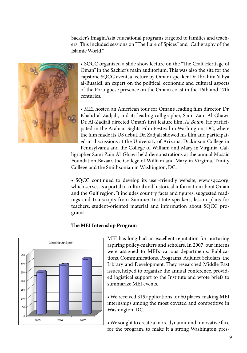Sackler's ImaginAsia educational programs targeted to families and teachers. This included sessions on "The Lure of Spices" and "Calligraphy of the Islamic World."



• SQCC organized a slide show lecture on the "The Craft Heritage of Oman" in the Sackler's main auditorium. This was also the site for the capstone SQCC event, a lecture by Omani speaker Dr. Ibrahim Yahya al-Busaidi, an expert on the political, economic and cultural aspects of the Portuguese presence on the Omani coast in the 16th and 17th centuries.

• MEI hosted an American tour for Oman's leading film director, Dr. Khalid al-Zadjali, and its leading calligrapher, Sami Zain Al-Ghawi. Dr. Al-Zadjali directed Oman's first feature film, *Al Boum*. He participated in the Arabian Sights Film Festival in Washington, DC, where the film made its US debut. Dr. Zadjali showed his film and participated in discussions at the University of Arizona, Dickinson College in

Pennsylvania and the College of William and Mary in Virginia. Calligrapher Sami Zain Al-Ghawi held demonstrations at the annual Mosaic Foundation Bazaar, the College of William and Mary in Virginia, Trinity College and the Smithsonian in Washington, DC.

• SQCC continued to develop its user-friendly website, www.sqcc.org, which serves as a portal to cultural and historical information about Oman and the Gulf region. It includes country facts and figures, suggested readings and transcripts from Summer Institute speakers, lesson plans for teachers, student-oriented material and information about SQCC programs.

#### **The MEI Internship Program**



MEI has long had an excellent reputation for nurturing aspiring policy-makers and scholars. In 2007, our interns were assigned to MEI's various departments: Publications, Communications, Programs, Adjunct Scholars, the Library and Development. They researched Middle East issues, helped to organize the annual conference, provided logistical support to the Institute and wrote briefs to summarize MEI events.

• We received 315 applications for 60 places, making MEI internships among the most coveted and competitive in Washington, DC.

• We sought to create a more dynamic and innovative face for the program, to make it a strong Washington pres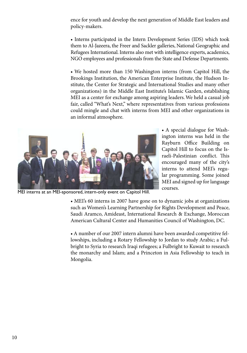ence for youth and develop the next generation of Middle East leaders and policy-makers.

• Interns participated in the Intern Development Series (IDS) which took them to Al-Jazeera, the Freer and Sackler galleries, National Geographic and Refugees International. Interns also met with intelligence experts, academics, NGO employees and professionals from the State and Defense Departments.

• We hosted more than 150 Washington interns (from Capitol Hill, the Brookings Institution, the American Enterprise Institute, the Hudson Institute, the Center for Strategic and International Studies and many other organizations) in the Middle East Institute's Islamic Garden, establishing MEI as a center for exchange among aspiring leaders. We held a casual job fair, called "What's Next," where representatives from various professions could mingle and chat with interns from MEI and other organizations in an informal atmosphere.



• A special dialogue for Washington interns was held in the Rayburn Office Building on Capitol Hill to focus on the Israeli-Palestinian conflict. This encouraged many of the city's interns to attend MEI's regular programming. Some joined MEI and signed up for language courses.

MEI interns at an MEI-sponsored, intern-only event on Capitol Hill.

• MEI's 60 interns in 2007 have gone on to dynamic jobs at organizations such as Women's Learning Partnership for Rights Development and Peace, Saudi Aramco, Amideast, International Research & Exchange, Moroccan American Cultural Center and Humanities Council of Washington, DC.

• A number of our 2007 intern alumni have been awarded competitive fellowships, including a Rotary Fellowship to Jordan to study Arabic; a Fulbright to Syria to research Iraqi refugees; a Fulbright to Kuwait to research the monarchy and Islam; and a Princeton in Asia Fellowship to teach in Mongolia.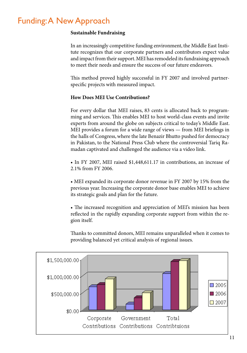## Funding: A New Approach

#### **Sustainable Fundraising**

In an increasingly competitive funding environment, the Middle East Institute recognizes that our corporate partners and contributors expect value and impact from their support. MEI has remodeled its fundraising approach to meet their needs and ensure the success of our future endeavors.

This method proved highly successful in FY 2007 and involved partnerspecific projects with measured impact.

#### **How Does MEI Use Contributions?**

For every dollar that MEI raises, 83 cents is allocated back to programming and services. This enables MEI to host world-class events and invite experts from around the globe on subjects critical to today's Middle East. MEI provides a forum for a wide range of views — from MEI briefings in the halls of Congress, where the late Benazir Bhutto pushed for democracy in Pakistan, to the National Press Club where the controversial Tariq Ramadan captivated and challenged the audience via a video link.

• In FY 2007, MEI raised \$1,448,611.17 in contributions, an increase of 2.1% from FY 2006.

• MEI expanded its corporate donor revenue in FY 2007 by 15% from the previous year. Increasing the corporate donor base enables MEI to achieve its strategic goals and plan for the future.

• The increased recognition and appreciation of MEI's mission has been reflected in the rapidly expanding corporate support from within the region itself.

Thanks to committed donors, MEI remains unparalleled when it comes to providing balanced yet critical analysis of regional issues.

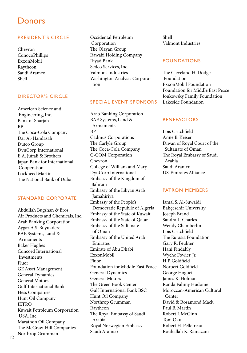### **Donors**

#### PRESIDENT'S CIRCLE

Chevron ConocoPhillips ExxonMobil Raytheon Saudi Aramco Shell

#### DIRECTOR'S CIRCLE

American Science and Engineering, Inc. Bank of Sharjah BP The Coca-Cola Company Dar Al-Handasah Dutco Group DynCorp International E.A. Juffali & Brothers Japan Bank for International Cooperation Lockheed Martin The National Bank of Dubai

#### STANDARD CORPORATE

Abdullah Bugshan & Bros. Air Products and Chemicals, Inc. Arab Banking Corporation Aygaz A.S. Buyukdere BAE Systems, Land & Armaments Baker Hughes Concord International Investments Fluor GE Asset Management General Dynamics General Motors Gulf International Bank Hess Companies Hunt Oil Company **JETRO** Kuwait Petroleum Corporation USA, Inc. Marathon Oil Company The McGraw-Hill Companies Northrop Grumman

Occidental Petroleum Corporation The Olayan Group Rawabi Holding Company Riyad Bank Sedco Services, Inc. Valmont Industries Washington Analysis Corpora tion

#### SPECIAL EVENT SPONSORS

Arab Banking Corporation BAE Systems, Land & Armaments BP Cadmus Corporations The Carlyle Group The Coca-Cola Company C-COM Corporation Chevron College of William and Mary DynCorp International Embassy of the Kingdom of Bahrain Embassy of the Libyan Arab Jamahiriya Embassy of the People's Democratic Republic of Algeria Embassy of the State of Kuwait Embassy of the State of Qatar Embassy of the Sultanate of Oman Embassy of the United Arab Emirates Emirate of Abu Dhabi ExxonMobil Fluor Foundation for Middle East Peace General Dynamics General Motors The Green Book Center Gulf International Bank BSC Hunt Oil Company Northrop Grumman Raytheon The Royal Embassy of Saudi Arabia Royal Norwegian Embassy Saudi Aramco

Shell Valmont Industries

#### FOUNDATIONS

The Cleveland H. Dodge Foundation ExxonMobil Foundation Foundation for Middle East Peace Joukowsky Family Foundation Lakeside Foundation

#### BENEFACTORS

Lois Critchfield Anne B. Keiser Diwan of Royal Court of the Sultanate of Oman The Royal Embassy of Saudi Arabia Saudi Aramco US-Emirates Alliance

#### PATRON MEMBERS

Jamal S. Al-Suwaidi Bahçesehir University Joseph Brand Sandra L. Charles Wendy Chamberlin Lois Critchfield The Eurasia Foundation Gary R. Feulner Hani Findakly Wyche Fowler, Jr. H.P. Goldfield Norbert Goldfield George Hoguet James K. Holman Randa Fahmy Hudome Moroccan-American Cultural Center David & Rosamond Mack Paul B. Martin Robert J. McGinn Tom Oku Robert H. Pelletreau Rouhallah K. Ramazani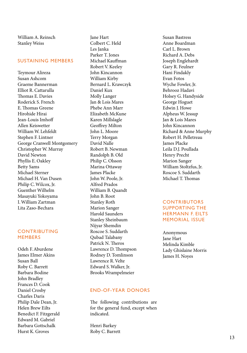William A. Reinsch Stanley Weiss

#### SUSTAINING MEMBERS

Teymour Alireza Susan Ashcom Graeme Bannerman Elliot R. Cattarulla Thomas E. Davies Roderick S. French E. Thomas Greene Hirohide Hirai Jean-Louis Imhoff Allen Keiswetter William W. Lehfeldt Stephen F. Lintner George Cranwell Montgomery Christopher W. Murray David Newton Phyllis E. Oakley Betty Sams Michael Sterner Michael H. Van Dusen Philip C. Wilcox, Jr. Guenther Wilhelm Masayuki Yokoyama I. William Zartman Lita Zaso-Bechara

#### CONTRIBUTING **MEMBERS**

Odeh F. Aburdene James Elmer Akins Susan Ball Roby C. Barrett Barbara Bodine John Bradley Frances D. Cook Daniel Crosby Charles Daris Philip Dale Dean, Jr. Helen Brew Eilts Benedict F. Fitzgerald Edward M. Gabriel Barbara Gottschalk Hurst K. Groves

Jane Hart Colbert C. Held Les Janka Parker T. Jones Michael Kauffman Robert V. Keeley John Kincannon William Kirby Bernard L. Krawczyk Daniel Kux Molly Langer Jan & Lois Mares Phebe Ann Marr Elizabeth McKune Karen Millslagle Geoffrey Milton John L. Moore Terry Morgan David Nalle Robert B. Newman Randolph B. Old Philip C. Olsson Marina Ottaway James Placke John W. Poole, Jr. Alfred Prados William B. Quandt John B. Root Stanley Roth Marion Sanger Harold Saunders Stanley Sheinbaum Nijyar Shemdin Roscoe S. Suddarth Qubad Talabany Patrick N. Theros Lawrence D. Thompson Rodney D. Tomlinson Lawrence R. Velte Edward S. Walker, Jr. Brooks Wrampelmeier

#### END-OF-YEAR DONORS

The following contributions are for the general fund, except when indicated.

Henri Barkey Roby C. Barrett Susan Bastress Anne Boardman Carl L. Brown Richard A. Debs Joseph Englehardt Gary R. Feulner Hani Findakly Evan Fotos Wyche Fowler, Jr. Behrooz Hadavi Holsey G. Handyside George Hoguet Edwin J. Howe Alpheus W. Jessup Jan & Lois Mares John Kincannon Richard & Anne Murphy Robert H. Pelletreau James Placke Leila D.J. Poullada Henry Precht Marion Sanger William Stoltzfus, Jr. Roscoe S. Suddarth Michael T. Thomas

#### **CONTRIBUTORS** SUPPORTING THE HERMANN F. EILTS MEMORIAL ISSUE

Anonymous Jane Hart Melinda Kimble Lady Ghislaine Morris James H. Noyes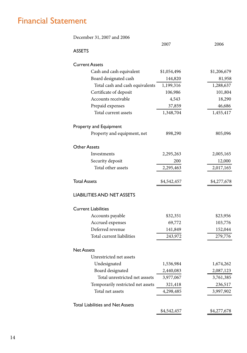## Financial Statement

| December 31, 2007 and 2006              |             |             |
|-----------------------------------------|-------------|-------------|
|                                         | 2007        | 2006        |
| <b>ASSETS</b>                           |             |             |
| <b>Current Assets</b>                   |             |             |
| Cash and cash equivalent                | \$1,054,496 | \$1,206,679 |
| Board designated cash                   | 144,820     | 81,958      |
| Total cash and cash equivalents         | 1,199,316   | 1,288,637   |
| Certificate of deposit                  | 106,986     | 101,804     |
| Accounts receivable                     | 4,543       | 18,290      |
| Prepaid expenses                        | 37,859      | 46,686      |
| Total current assets                    | 1,348,704   | 1,455,417   |
| Property and Equipment                  |             |             |
| Property and equipment, net             | 898,290     | 805,096     |
| <b>Other Assets</b>                     |             |             |
| Investments                             | 2,295,263   | 2,005,165   |
| Security deposit                        | 200         | 12,000      |
| Total other assets                      | 2,295,463   | 2,017,165   |
| <b>Total Assets</b>                     | \$4,542,457 | \$4,277,678 |
| <b>LIABILITIES AND NET ASSETS</b>       |             |             |
| <b>Current Liabilities</b>              |             |             |
| Accounts payable                        | \$32,351    | \$23,956    |
| Accrued expenses                        | 69,772      | 103,776     |
| Deferred revenue                        | 141,849     | 152,044     |
| Total current liabilities               | 243,972     | 279,776     |
| <b>Net Assets</b>                       |             |             |
| Unrestricted net assets                 |             |             |
| Undesignated                            | 1,536,984   | 1,674,262   |
| Board designated                        | 2,440,083   | 2,087,123   |
| Total unrestricted net asssets          | 3,977,067   | 3,761,385   |
| Temporarily restricted net assets       | 321,418     | 236,517     |
| Total net assets                        | 4,298,485   | 3,997,902   |
| <b>Total Liabilities and Net Assets</b> |             |             |
|                                         | \$4,542,457 | \$4,277,678 |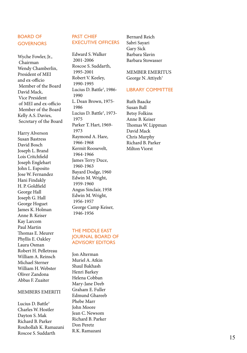#### BOARD OF **GOVERNORS**

Wyche Fowler, Jr., Chairman Wendy Chamberlin, President of MEI and ex-officio Member of the Board David Mack, Vice President of MEI and ex-officio Member of the Board Kelly A.S. Davies, Secretary of the Board

Harry Alverson Susan Bastress David Bosch Joseph L. Brand Lois Critchfield Joseph Englehart John L. Esposito Jose W. Fernandez Hani Findakly H. P. Goldfield George Hall Joseph G. Hall George Hoguet James K. Holman Anne B. Keiser Kay Larcom Paul Martin Thomas E. Meurer Phyllis E. Oakley Laura Osman Robert H. Pelletreau William A. Reinsch Michael Sterner William H. Webster Oliver Zandona Abbas F. Zuaiter

#### MEMBERS EMERITI

Lucius D. Battle † Charles W. Hostler Dayton S. Mak Richard B. Parker Rouhollah K. Ramazani Roscoe S. Suddarth

#### PAST CHIEF EXECUTIVE OFFICERS

Edward S. Walker 2001-2006 Roscoe S. Suddarth, 1995-2001 Robert V. Keeley, 1990-1995 Lucius D. Battle † , 1986- 1990 L. Dean Brown, 1975- 1986 Lucius D. Battle † , 1973- 1975 Parker T. Hart, 1969- 1973 Raymond A. Hare, 1966-1968 Kermit Roosevelt, 1964-1966 James Terry Duce, 1960-1963 Bayard Dodge, 1960 Edwin M. Wright, 1959-1960 Angus Sinclair, 1958 Edwin M. Wright, 1956-1957 George Camp Keiser, 1946-1956

#### THE MIDDLE EAST JOURNAL BOARD OF ADVISORY EDITORS

Jon Alterman Muriel A. Atkin Shaul Bakhash Henri Barkey Helena Cobban Mary-Jane Deeb Graham E. Fuller Edmund Ghareeb Phebe Marr John Moore Jean C. Newsom Richard B. Parker Don Peretz R.K. Ramazani

Bernard Reich Sabri Sayari Gary Sick Barbara Slavin Barbara Stowasser

MEMBER EMERITUS George N. Attiyeh †

#### LIBRARY COMMITTEE

Ruth Baacke Susan Ball Betsy Folkins Anne B. Keiser Thomas W. Lippman David Mack Chris Murphy Richard B. Parker Milton Viorst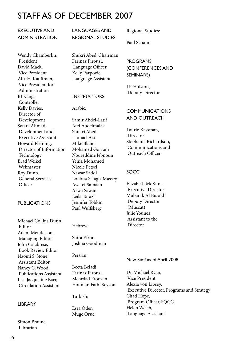# STAFF AS OF DECEMBER 2007

#### EXECUTIVE AND ADMINISTRATION

Wendy Chamberlin, President David Mack, Vice President Alix H. Kauffman, Vice President for Administration BJ Kang, Controller Kelly Davies, Director of Development Setara Ahmad, Development and Executive Assistant Howard Fleming, Director of Information Technology Brad Weikel, Webmaster Roy Dunn, General Services Officer

#### PUBLICATIONS

Michael Collins Dunn, Editor Adam Mendelson, Managing Editor John Calabrese, Book Review Editor Naomi S. Stone, Assistant Editor Nancy C. Wood, Publications Assistant Lisa Jacqueline Barr, Circulation Assistant

#### LIBRARY

Simon Braune, Librarian

LANGUAGES AND REGIONAL STUDIES

Shukri Abed, Chairman Farinaz Firouzi, Language Officer Kelly Parpovic, Language Assistant

#### INSTRUCTORS

Arabic:

Samir Abdel-Latif Atef Abdelmalak Shukri Abed Ishmael Aja Mike Bland Mohamed Gorram Noureddine Jebnoun Yehia Mohamed Nicole Petsel Nawar Saddi Loubna Salagh-Massey Awatef Samaan Arwa Sawan Leila Tarazi Jennifer Tobkin Paul Wulfsberg

Hebrew:

Shira Efron Joshua Goodman

Persian:

Beeta Beladi Farinaz Firouzi Mehrdad Froozan Houman Fathi Seyson

Turkish:

Esra Oden Muge Oruc Regional Studies:

Paul Scham

#### PROGRAMS (CONFERENCES AND SEMINARS)

J.F. Hulston, Deputy Director

#### COMMUNICATIONS AND OUTREACH

Laurie Kassman, Director Stephanie Richardson, Communications and Outreach Officer

#### **SOCC**

Elizabeth McKune, Executive Director Mubarak Al Busaidi Deputy Director (Muscat) Julie Younes Assistant to the Director

#### New Staff as of April 2008

Dr. Michael Ryan, Vice President Alexia von Lipsey, Executive Director, Programs and Strategy Chad Hope, Program Officer, SQCC Helen Welch, Language Assistant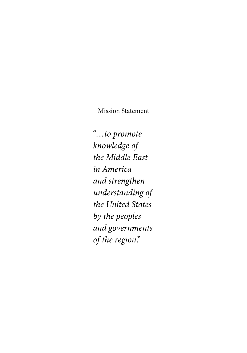Mission Statement

"…*to promote knowledge of the Middle East in America and strengthen understanding of the United States by the peoples and governments of the region*."